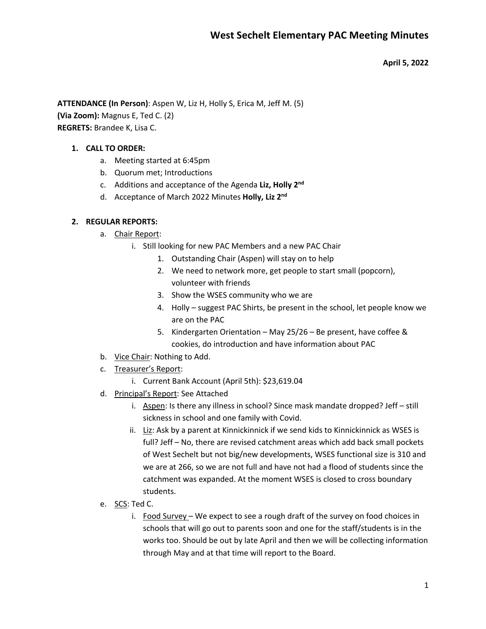**April 5, 2022**

**ATTENDANCE (In Person)**: Aspen W, Liz H, Holly S, Erica M, Jeff M. (5) **(Via Zoom):** Magnus E, Ted C. (2) **REGRETS:** Brandee K, Lisa C.

### **1. CALL TO ORDER:**

- a. Meeting started at 6:45pm
- b. Quorum met; Introductions
- c. Additions and acceptance of the Agenda **Liz, Holly 2nd**
- d. Acceptance of March 2022 Minutes **Holly, Liz 2nd**

#### **2. REGULAR REPORTS:**

- a. Chair Report:
	- i. Still looking for new PAC Members and a new PAC Chair
		- 1. Outstanding Chair (Aspen) will stay on to help
		- 2. We need to network more, get people to start small (popcorn), volunteer with friends
		- 3. Show the WSES community who we are
		- 4. Holly suggest PAC Shirts, be present in the school, let people know we are on the PAC
		- 5. Kindergarten Orientation May 25/26 Be present, have coffee & cookies, do introduction and have information about PAC
- b. <u>Vice Chair</u>: Nothing to Add.
- c. Treasurer's Report:
	- i. Current Bank Account (April 5th): \$23,619.04
- d. Principal's Report: See Attached
	- i. Aspen: Is there any illness in school? Since mask mandate dropped? Jeff still sickness in school and one family with Covid.
	- ii. Liz: Ask by a parent at Kinnickinnick if we send kids to Kinnickinnick as WSES is full? Jeff – No, there are revised catchment areas which add back small pockets of West Sechelt but not big/new developments, WSES functional size is 310 and we are at 266, so we are not full and have not had a flood of students since the catchment was expanded. At the moment WSES is closed to cross boundary students.
- e. SCS: Ted C.
	- i. Food Survey We expect to see a rough draft of the survey on food choices in schools that will go out to parents soon and one for the staff/students is in the works too. Should be out by late April and then we will be collecting information through May and at that time will report to the Board.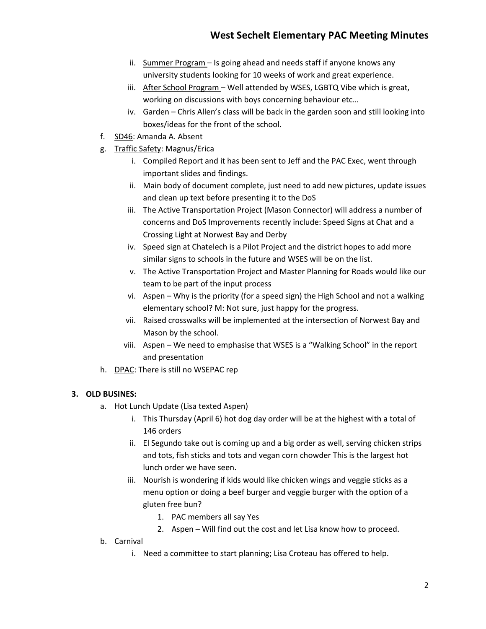- ii. Summer Program Is going ahead and needs staff if anyone knows any university students looking for 10 weeks of work and great experience.
- iii. After School Program Well attended by WSES, LGBTQ Vibe which is great, working on discussions with boys concerning behaviour etc…
- iv. Garden Chris Allen's class will be back in the garden soon and still looking into boxes/ideas for the front of the school.
- f. SD46: Amanda A. Absent
- g. Traffic Safety: Magnus/Erica
	- i. Compiled Report and it has been sent to Jeff and the PAC Exec, went through important slides and findings.
	- ii. Main body of document complete, just need to add new pictures, update issues and clean up text before presenting it to the DoS
	- iii. The Active Transportation Project (Mason Connector) will address a number of concerns and DoS Improvements recently include: Speed Signs at Chat and a Crossing Light at Norwest Bay and Derby
	- iv. Speed sign at Chatelech is a Pilot Project and the district hopes to add more similar signs to schools in the future and WSES will be on the list.
	- v. The Active Transportation Project and Master Planning for Roads would like our team to be part of the input process
	- vi. Aspen Why is the priority (for a speed sign) the High School and not a walking elementary school? M: Not sure, just happy for the progress.
	- vii. Raised crosswalks will be implemented at the intersection of Norwest Bay and Mason by the school.
	- viii. Aspen We need to emphasise that WSES is a "Walking School" in the report and presentation
- h. DPAC: There is still no WSEPAC rep

# **3. OLD BUSINES:**

- a. Hot Lunch Update (Lisa texted Aspen)
	- i. This Thursday (April 6) hot dog day order will be at the highest with a total of 146 orders
	- ii. El Segundo take out is coming up and a big order as well, serving chicken strips and tots, fish sticks and tots and vegan corn chowder This is the largest hot lunch order we have seen.
	- iii. Nourish is wondering if kids would like chicken wings and veggie sticks as a menu option or doing a beef burger and veggie burger with the option of a gluten free bun?
		- 1. PAC members all say Yes
		- 2. Aspen Will find out the cost and let Lisa know how to proceed.
- b. Carnival
	- i. Need a committee to start planning; Lisa Croteau has offered to help.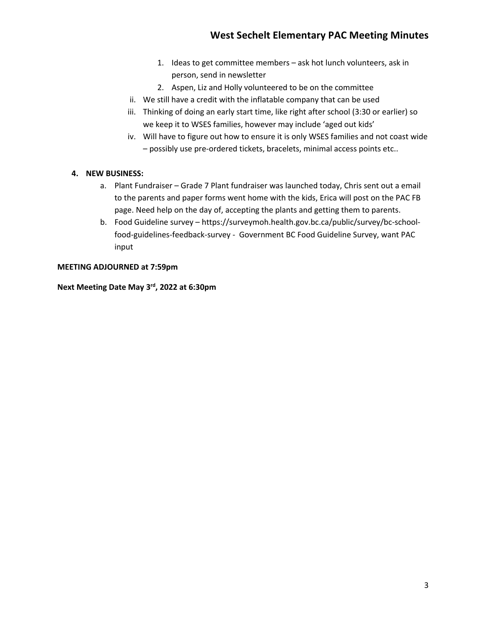- 1. Ideas to get committee members ask hot lunch volunteers, ask in person, send in newsletter
- 2. Aspen, Liz and Holly volunteered to be on the committee
- ii. We still have a credit with the inflatable company that can be used
- iii. Thinking of doing an early start time, like right after school (3:30 or earlier) so we keep it to WSES families, however may include 'aged out kids'
- iv. Will have to figure out how to ensure it is only WSES families and not coast wide – possibly use pre-ordered tickets, bracelets, minimal access points etc..

#### **4. NEW BUSINESS:**

- a. Plant Fundraiser Grade 7 Plant fundraiser was launched today, Chris sent out a email to the parents and paper forms went home with the kids, Erica will post on the PAC FB page. Need help on the day of, accepting the plants and getting them to parents.
- b. Food Guideline survey https://surveymoh.health.gov.bc.ca/public/survey/bc-schoolfood-guidelines-feedback-survey - Government BC Food Guideline Survey, want PAC input

## **MEETING ADJOURNED at 7:59pm**

**Next Meeting Date May 3rd, 2022 at 6:30pm**